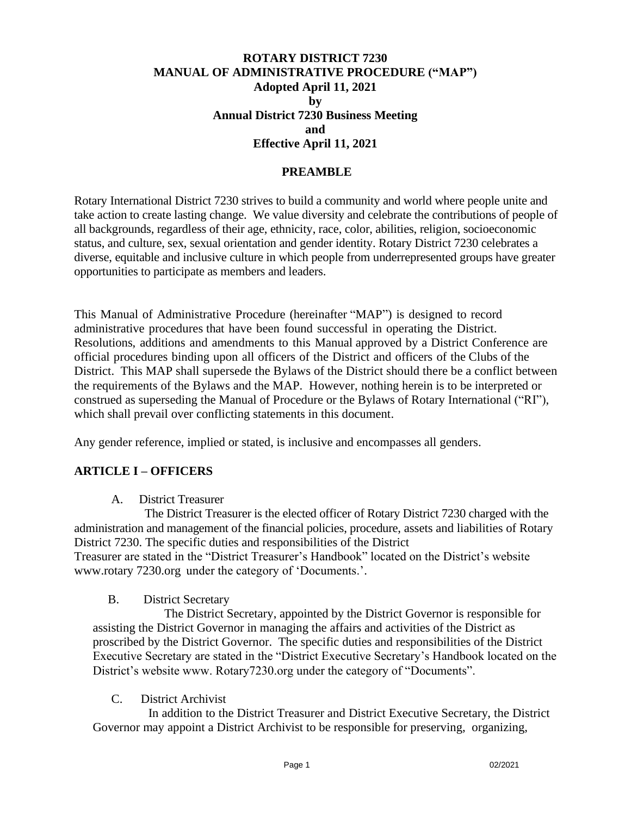### **ROTARY DISTRICT 7230 MANUAL OF ADMINISTRATIVE PROCEDURE ("MAP") Adopted April 11, 2021 by Annual District 7230 Business Meeting and Effective April 11, 2021**

#### **PREAMBLE**

Rotary International District 7230 strives to build a community and world where people unite and take action to create lasting change. We value diversity and celebrate the contributions of people of all backgrounds, regardless of their age, ethnicity, race, color, abilities, religion, socioeconomic status, and culture, sex, sexual orientation and gender identity. Rotary District 7230 celebrates a diverse, equitable and inclusive culture in which people from underrepresented groups have greater opportunities to participate as members and leaders.

This Manual of Administrative Procedure (hereinafter "MAP") is designed to record administrative procedures that have been found successful in operating the District. Resolutions, additions and amendments to this Manual approved by a District Conference are official procedures binding upon all officers of the District and officers of the Clubs of the District. This MAP shall supersede the Bylaws of the District should there be a conflict between the requirements of the Bylaws and the MAP. However, nothing herein is to be interpreted or construed as superseding the Manual of Procedure or the Bylaws of Rotary International ("RI"), which shall prevail over conflicting statements in this document.

Any gender reference, implied or stated, is inclusive and encompasses all genders.

### **ARTICLE I – OFFICERS**

A.District Treasurer

 The District Treasurer is the elected officer of Rotary District 7230 charged with the administration and management of the financial policies, procedure, assets and liabilities of Rotary District 7230. The specific duties and responsibilities of the District Treasurer are stated in the "District Treasurer's Handbook" located on the District's website [www.rotary](http://www.rotary/) 7230.org under the category of 'Documents.'.

#### B. District Secretary

 The District Secretary, appointed by the District Governor is responsible for assisting the District Governor in managing the affairs and activities of the District as proscribed by the District Governor. The specific duties and responsibilities of the District Executive Secretary are stated in the "District Executive Secretary's Handbook located on the District's website www. Rotary7230.org under the category of "Documents".

C.District Archivist

In addition to the District Treasurer and District Executive Secretary, the District Governor may appoint a District Archivist to be responsible for preserving, organizing,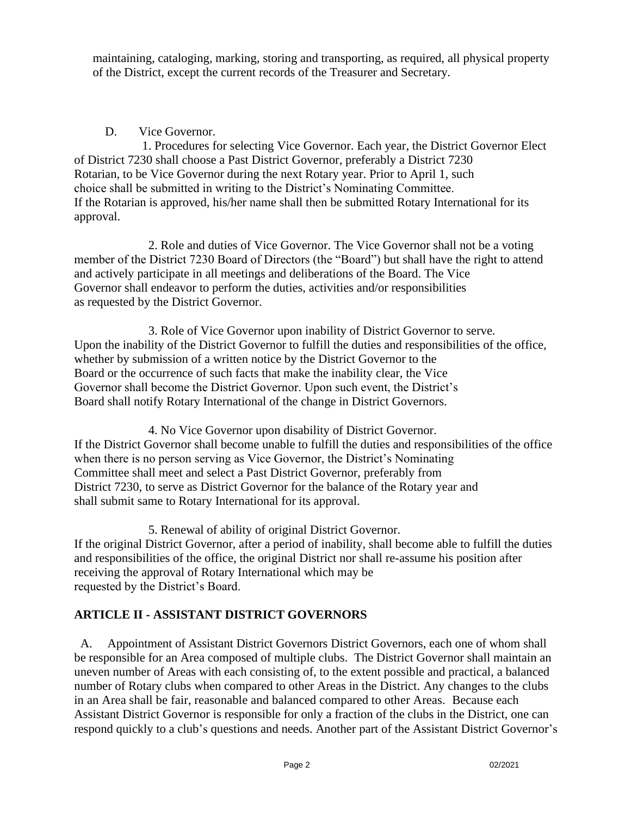maintaining, cataloging, marking, storing and transporting, as required, all physical property of the District, except the current records of the Treasurer and Secretary.

## D. Vice Governor.

 1. Procedures for selecting Vice Governor. Each year, the District Governor Elect of District 7230 shall choose a Past District Governor, preferably a District 7230 Rotarian, to be Vice Governor during the next Rotary year. Prior to April 1, such choice shall be submitted in writing to the District's Nominating Committee. If the Rotarian is approved, his/her name shall then be submitted Rotary International for its approval.

2. Role and duties of Vice Governor. The Vice Governor shall not be a voting member of the District 7230 Board of Directors (the "Board") but shall have the right to attend and actively participate in all meetings and deliberations of the Board. The Vice Governor shall endeavor to perform the duties, activities and/or responsibilities as requested by the District Governor.

3. Role of Vice Governor upon inability of District Governor to serve. Upon the inability of the District Governor to fulfill the duties and responsibilities of the office, whether by submission of a written notice by the District Governor to the Board or the occurrence of such facts that make the inability clear, the Vice Governor shall become the District Governor. Upon such event, the District's Board shall notify Rotary International of the change in District Governors.

4. No Vice Governor upon disability of District Governor. If the District Governor shall become unable to fulfill the duties and responsibilities of the office when there is no person serving as Vice Governor, the District's Nominating Committee shall meet and select a Past District Governor, preferably from District 7230, to serve as District Governor for the balance of the Rotary year and shall submit same to Rotary International for its approval.

5. Renewal of ability of original District Governor. If the original District Governor, after a period of inability, shall become able to fulfill the duties and responsibilities of the office, the original District nor shall re-assume his position after receiving the approval of Rotary International which may be requested by the District's Board.

## **ARTICLE II - ASSISTANT DISTRICT GOVERNORS**

 A. Appointment of Assistant District Governors District Governors, each one of whom shall be responsible for an Area composed of multiple clubs. The District Governor shall maintain an uneven number of Areas with each consisting of, to the extent possible and practical, a balanced number of Rotary clubs when compared to other Areas in the District. Any changes to the clubs in an Area shall be fair, reasonable and balanced compared to other Areas. Because each Assistant District Governor is responsible for only a fraction of the clubs in the District, one can respond quickly to a club's questions and needs. Another part of the Assistant District Governor's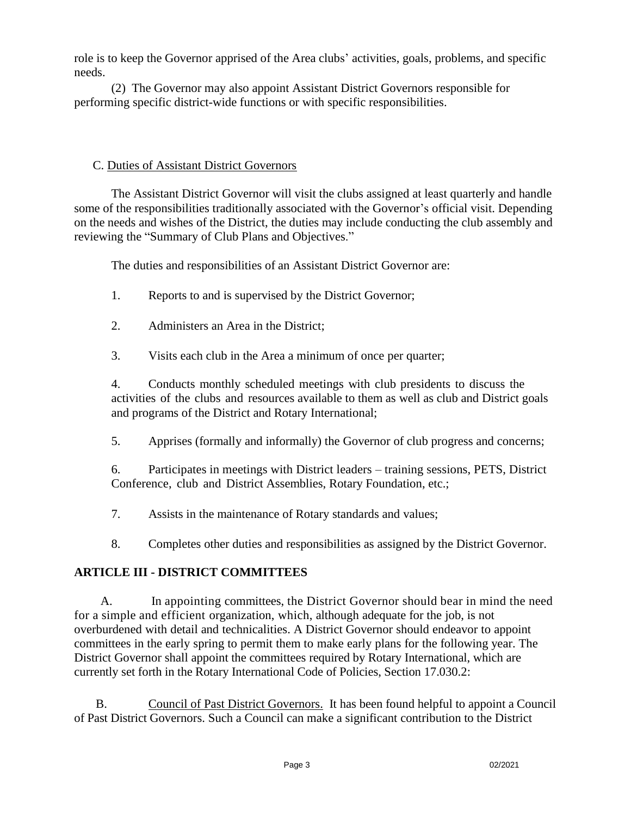role is to keep the Governor apprised of the Area clubs' activities, goals, problems, and specific needs.

(2) The Governor may also appoint Assistant District Governors responsible for performing specific district-wide functions or with specific responsibilities.

### C. Duties of Assistant District Governors

The Assistant District Governor will visit the clubs assigned at least quarterly and handle some of the responsibilities traditionally associated with the Governor's official visit. Depending on the needs and wishes of the District, the duties may include conducting the club assembly and reviewing the "Summary of Club Plans and Objectives."

The duties and responsibilities of an Assistant District Governor are:

- 1. Reports to and is supervised by the District Governor;
- 2. Administers an Area in the District;
- 3. Visits each club in the Area a minimum of once per quarter;

4. Conducts monthly scheduled meetings with club presidents to discuss the activities of the clubs and resources available to them as well as club and District goals and programs of the District and Rotary International;

5. Apprises (formally and informally) the Governor of club progress and concerns;

6. Participates in meetings with District leaders – training sessions, PETS, District Conference, club and District Assemblies, Rotary Foundation, etc.;

7. Assists in the maintenance of Rotary standards and values;

8. Completes other duties and responsibilities as assigned by the District Governor.

# **ARTICLE III - DISTRICT COMMITTEES**

 A. In appointing committees, the District Governor should bear in mind the need for a simple and efficient organization, which, although adequate for the job, is not overburdened with detail and technicalities. A District Governor should endeavor to appoint committees in the early spring to permit them to make early plans for the following year. The District Governor shall appoint the committees required by Rotary International, which are currently set forth in the Rotary International Code of Policies, Section 17.030.2:

B. Council of Past District Governors. It has been found helpful to appoint a Council of Past District Governors. Such a Council can make a significant contribution to the District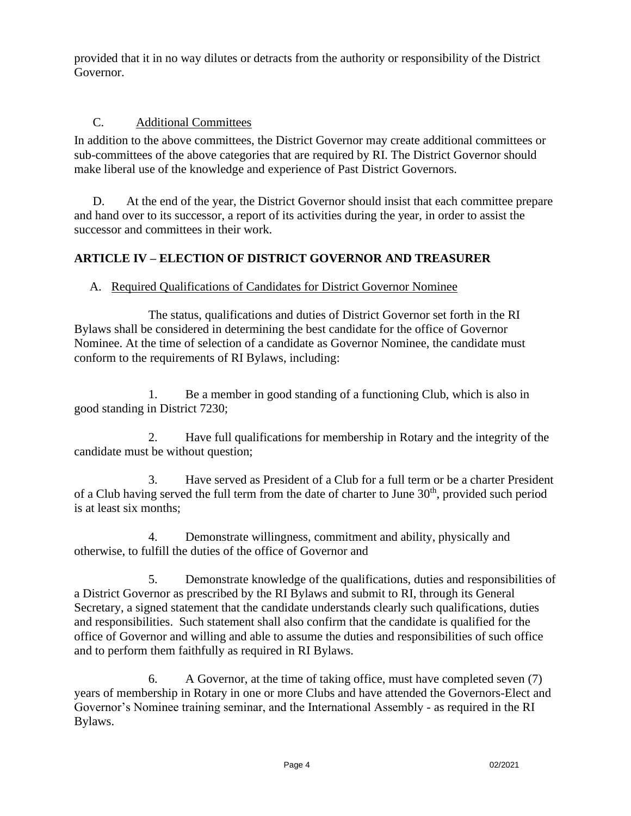provided that it in no way dilutes or detracts from the authority or responsibility of the District Governor.

## C. Additional Committees

In addition to the above committees, the District Governor may create additional committees or sub-committees of the above categories that are required by RI. The District Governor should make liberal use of the knowledge and experience of Past District Governors.

D. At the end of the year, the District Governor should insist that each committee prepare and hand over to its successor, a report of its activities during the year, in order to assist the successor and committees in their work.

# **ARTICLE IV – ELECTION OF DISTRICT GOVERNOR AND TREASURER**

## A. Required Qualifications of Candidates for District Governor Nominee

The status, qualifications and duties of District Governor set forth in the RI Bylaws shall be considered in determining the best candidate for the office of Governor Nominee. At the time of selection of a candidate as Governor Nominee, the candidate must conform to the requirements of RI Bylaws, including:

1. Be a member in good standing of a functioning Club, which is also in good standing in District 7230;

2. Have full qualifications for membership in Rotary and the integrity of the candidate must be without question;

3. Have served as President of a Club for a full term or be a charter President of a Club having served the full term from the date of charter to June  $30<sup>th</sup>$ , provided such period is at least six months;

4. Demonstrate willingness, commitment and ability, physically and otherwise, to fulfill the duties of the office of Governor and

5. Demonstrate knowledge of the qualifications, duties and responsibilities of a District Governor as prescribed by the RI Bylaws and submit to RI, through its General Secretary, a signed statement that the candidate understands clearly such qualifications, duties and responsibilities. Such statement shall also confirm that the candidate is qualified for the office of Governor and willing and able to assume the duties and responsibilities of such office and to perform them faithfully as required in RI Bylaws.

6. A Governor, at the time of taking office, must have completed seven (7) years of membership in Rotary in one or more Clubs and have attended the Governors-Elect and Governor's Nominee training seminar, and the International Assembly - as required in the RI Bylaws.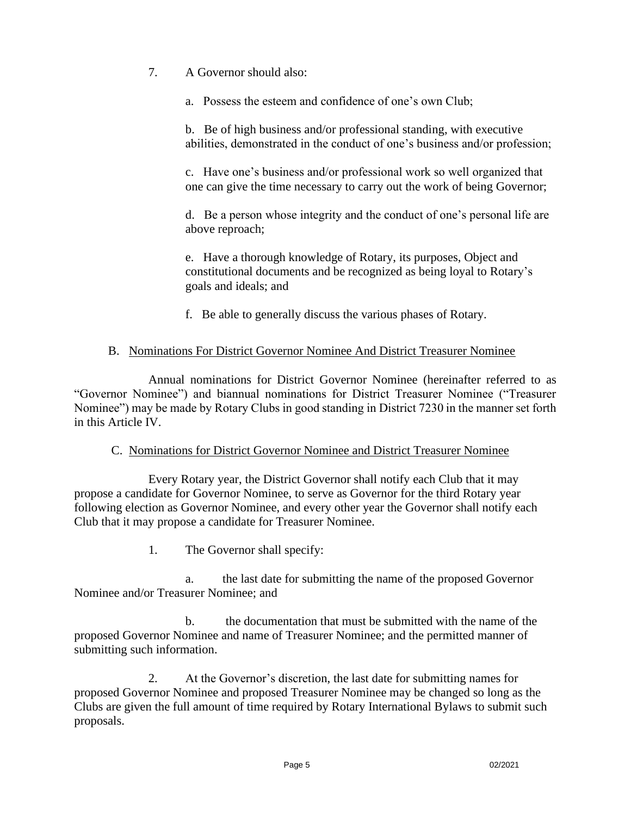7. A Governor should also:

a. Possess the esteem and confidence of one's own Club;

b. Be of high business and/or professional standing, with executive abilities, demonstrated in the conduct of one's business and/or profession;

c. Have one's business and/or professional work so well organized that one can give the time necessary to carry out the work of being Governor;

d. Be a person whose integrity and the conduct of one's personal life are above reproach;

e. Have a thorough knowledge of Rotary, its purposes, Object and constitutional documents and be recognized as being loyal to Rotary's goals and ideals; and

f. Be able to generally discuss the various phases of Rotary.

### B. Nominations For District Governor Nominee And District Treasurer Nominee

Annual nominations for District Governor Nominee (hereinafter referred to as "Governor Nominee") and biannual nominations for District Treasurer Nominee ("Treasurer Nominee") may be made by Rotary Clubs in good standing in District 7230 in the manner set forth in this Article IV.

### C. Nominations for District Governor Nominee and District Treasurer Nominee

Every Rotary year, the District Governor shall notify each Club that it may propose a candidate for Governor Nominee, to serve as Governor for the third Rotary year following election as Governor Nominee, and every other year the Governor shall notify each Club that it may propose a candidate for Treasurer Nominee.

1. The Governor shall specify:

a. the last date for submitting the name of the proposed Governor Nominee and/or Treasurer Nominee; and

b. the documentation that must be submitted with the name of the proposed Governor Nominee and name of Treasurer Nominee; and the permitted manner of submitting such information.

2. At the Governor's discretion, the last date for submitting names for proposed Governor Nominee and proposed Treasurer Nominee may be changed so long as the Clubs are given the full amount of time required by Rotary International Bylaws to submit such proposals.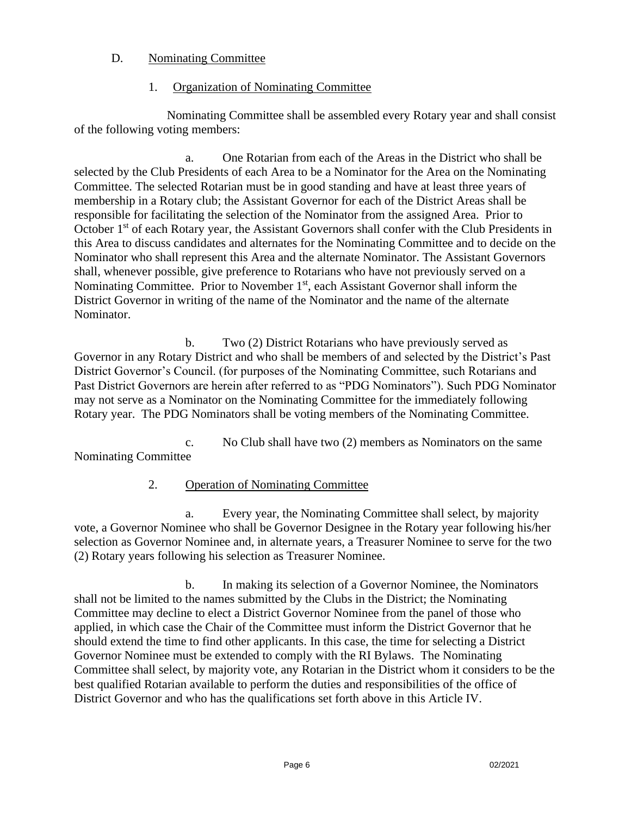#### D. Nominating Committee

#### 1. Organization of Nominating Committee

 Nominating Committee shall be assembled every Rotary year and shall consist of the following voting members:

a. One Rotarian from each of the Areas in the District who shall be selected by the Club Presidents of each Area to be a Nominator for the Area on the Nominating Committee. The selected Rotarian must be in good standing and have at least three years of membership in a Rotary club; the Assistant Governor for each of the District Areas shall be responsible for facilitating the selection of the Nominator from the assigned Area. Prior to October 1<sup>st</sup> of each Rotary year, the Assistant Governors shall confer with the Club Presidents in this Area to discuss candidates and alternates for the Nominating Committee and to decide on the Nominator who shall represent this Area and the alternate Nominator. The Assistant Governors shall, whenever possible, give preference to Rotarians who have not previously served on a Nominating Committee. Prior to November 1<sup>st</sup>, each Assistant Governor shall inform the District Governor in writing of the name of the Nominator and the name of the alternate Nominator.

b. Two (2) District Rotarians who have previously served as Governor in any Rotary District and who shall be members of and selected by the District's Past District Governor's Council. (for purposes of the Nominating Committee, such Rotarians and Past District Governors are herein after referred to as "PDG Nominators"). Such PDG Nominator may not serve as a Nominator on the Nominating Committee for the immediately following Rotary year. The PDG Nominators shall be voting members of the Nominating Committee.

c. No Club shall have two (2) members as Nominators on the same Nominating Committee

### 2. Operation of Nominating Committee

a. Every year, the Nominating Committee shall select, by majority vote, a Governor Nominee who shall be Governor Designee in the Rotary year following his/her selection as Governor Nominee and, in alternate years, a Treasurer Nominee to serve for the two (2) Rotary years following his selection as Treasurer Nominee.

b. In making its selection of a Governor Nominee, the Nominators shall not be limited to the names submitted by the Clubs in the District; the Nominating Committee may decline to elect a District Governor Nominee from the panel of those who applied, in which case the Chair of the Committee must inform the District Governor that he should extend the time to find other applicants. In this case, the time for selecting a District Governor Nominee must be extended to comply with the RI Bylaws. The Nominating Committee shall select, by majority vote, any Rotarian in the District whom it considers to be the best qualified Rotarian available to perform the duties and responsibilities of the office of District Governor and who has the qualifications set forth above in this Article IV.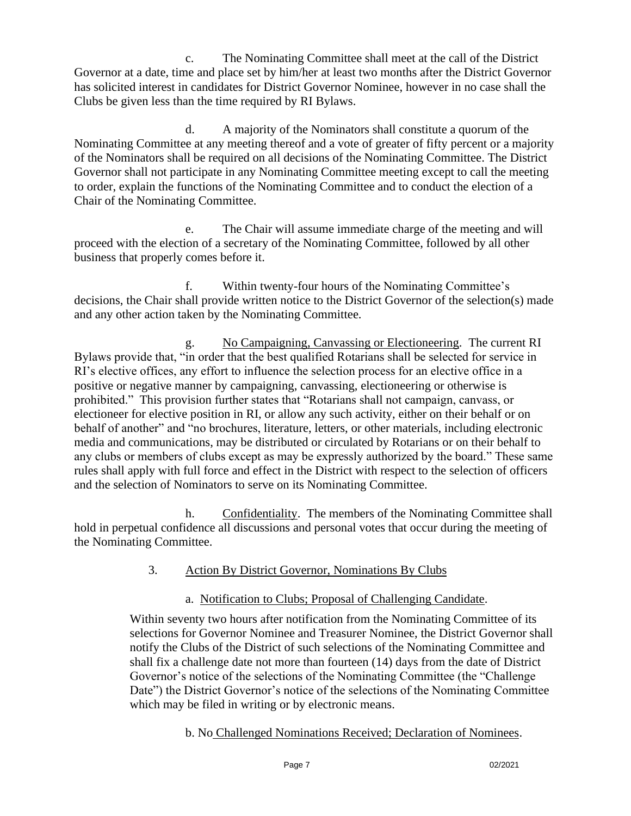c. The Nominating Committee shall meet at the call of the District Governor at a date, time and place set by him/her at least two months after the District Governor has solicited interest in candidates for District Governor Nominee, however in no case shall the Clubs be given less than the time required by RI Bylaws.

d. A majority of the Nominators shall constitute a quorum of the Nominating Committee at any meeting thereof and a vote of greater of fifty percent or a majority of the Nominators shall be required on all decisions of the Nominating Committee. The District Governor shall not participate in any Nominating Committee meeting except to call the meeting to order, explain the functions of the Nominating Committee and to conduct the election of a Chair of the Nominating Committee.

e. The Chair will assume immediate charge of the meeting and will proceed with the election of a secretary of the Nominating Committee, followed by all other business that properly comes before it.

f. Within twenty-four hours of the Nominating Committee's decisions, the Chair shall provide written notice to the District Governor of the selection(s) made and any other action taken by the Nominating Committee.

g. No Campaigning, Canvassing or Electioneering. The current RI Bylaws provide that, "in order that the best qualified Rotarians shall be selected for service in RI's elective offices, any effort to influence the selection process for an elective office in a positive or negative manner by campaigning, canvassing, electioneering or otherwise is prohibited." This provision further states that "Rotarians shall not campaign, canvass, or electioneer for elective position in RI, or allow any such activity, either on their behalf or on behalf of another" and "no brochures, literature, letters, or other materials, including electronic media and communications, may be distributed or circulated by Rotarians or on their behalf to any clubs or members of clubs except as may be expressly authorized by the board." These same rules shall apply with full force and effect in the District with respect to the selection of officers and the selection of Nominators to serve on its Nominating Committee.

h. Confidentiality. The members of the Nominating Committee shall hold in perpetual confidence all discussions and personal votes that occur during the meeting of the Nominating Committee.

### 3. Action By District Governor, Nominations By Clubs

## a. Notification to Clubs; Proposal of Challenging Candidate.

Within seventy two hours after notification from the Nominating Committee of its selections for Governor Nominee and Treasurer Nominee, the District Governor shall notify the Clubs of the District of such selections of the Nominating Committee and shall fix a challenge date not more than fourteen (14) days from the date of District Governor's notice of the selections of the Nominating Committee (the "Challenge Date") the District Governor's notice of the selections of the Nominating Committee which may be filed in writing or by electronic means.

b. No Challenged Nominations Received; Declaration of Nominees.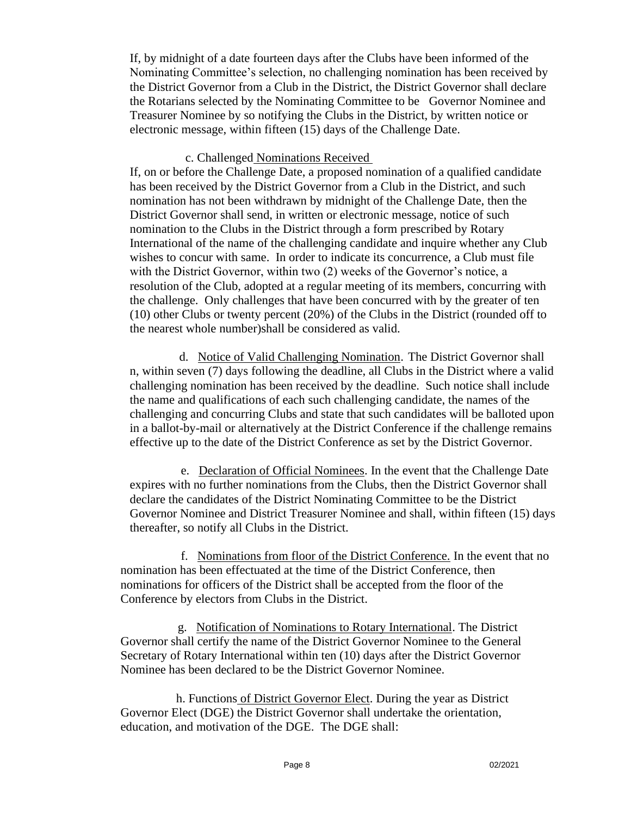If, by midnight of a date fourteen days after the Clubs have been informed of the Nominating Committee's selection, no challenging nomination has been received by the District Governor from a Club in the District, the District Governor shall declare the Rotarians selected by the Nominating Committee to be Governor Nominee and Treasurer Nominee by so notifying the Clubs in the District, by written notice or electronic message, within fifteen (15) days of the Challenge Date.

#### c. Challenged Nominations Received

If, on or before the Challenge Date, a proposed nomination of a qualified candidate has been received by the District Governor from a Club in the District, and such nomination has not been withdrawn by midnight of the Challenge Date, then the District Governor shall send, in written or electronic message, notice of such nomination to the Clubs in the District through a form prescribed by Rotary International of the name of the challenging candidate and inquire whether any Club wishes to concur with same. In order to indicate its concurrence, a Club must file with the District Governor, within two (2) weeks of the Governor's notice, a resolution of the Club, adopted at a regular meeting of its members, concurring with the challenge. Only challenges that have been concurred with by the greater of ten (10) other Clubs or twenty percent (20%) of the Clubs in the District (rounded off to the nearest whole number)shall be considered as valid.

 d. Notice of Valid Challenging Nomination. The District Governor shall n, within seven (7) days following the deadline, all Clubs in the District where a valid challenging nomination has been received by the deadline. Such notice shall include the name and qualifications of each such challenging candidate, the names of the challenging and concurring Clubs and state that such candidates will be balloted upon in a ballot-by-mail or alternatively at the District Conference if the challenge remains effective up to the date of the District Conference as set by the District Governor.

 e. Declaration of Official Nominees. In the event that the Challenge Date expires with no further nominations from the Clubs, then the District Governor shall declare the candidates of the District Nominating Committee to be the District Governor Nominee and District Treasurer Nominee and shall, within fifteen (15) days thereafter, so notify all Clubs in the District.

 f. Nominations from floor of the District Conference. In the event that no nomination has been effectuated at the time of the District Conference, then nominations for officers of the District shall be accepted from the floor of the Conference by electors from Clubs in the District.

 g. Notification of Nominations to Rotary International. The District Governor shall certify the name of the District Governor Nominee to the General Secretary of Rotary International within ten (10) days after the District Governor Nominee has been declared to be the District Governor Nominee.

h. Functions of District Governor Elect. During the year as District Governor Elect (DGE) the District Governor shall undertake the orientation, education, and motivation of the DGE. The DGE shall: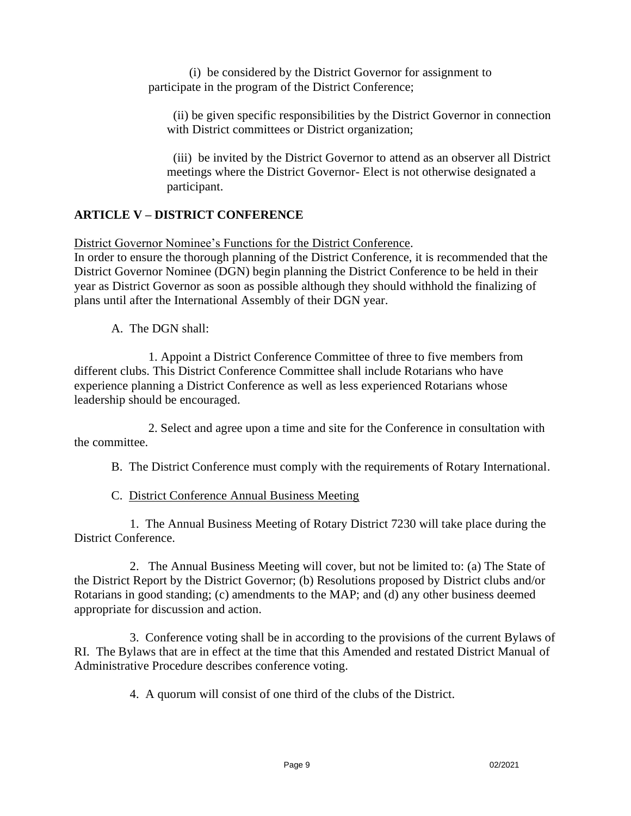(i) be considered by the District Governor for assignment to participate in the program of the District Conference;

 (ii) be given specific responsibilities by the District Governor in connection with District committees or District organization;

 (iii) be invited by the District Governor to attend as an observer all District meetings where the District Governor- Elect is not otherwise designated a participant.

## **ARTICLE V – DISTRICT CONFERENCE**

District Governor Nominee's Functions for the District Conference.

In order to ensure the thorough planning of the District Conference, it is recommended that the District Governor Nominee (DGN) begin planning the District Conference to be held in their year as District Governor as soon as possible although they should withhold the finalizing of plans until after the International Assembly of their DGN year.

A. The DGN shall:

1. Appoint a District Conference Committee of three to five members from different clubs. This District Conference Committee shall include Rotarians who have experience planning a District Conference as well as less experienced Rotarians whose leadership should be encouraged.

2. Select and agree upon a time and site for the Conference in consultation with the committee.

B. The District Conference must comply with the requirements of Rotary International.

C. District Conference Annual Business Meeting

1. The Annual Business Meeting of Rotary District 7230 will take place during the District Conference.

2. The Annual Business Meeting will cover, but not be limited to: (a) The State of the District Report by the District Governor; (b) Resolutions proposed by District clubs and/or Rotarians in good standing; (c) amendments to the MAP; and (d) any other business deemed appropriate for discussion and action.

3. Conference voting shall be in according to the provisions of the current Bylaws of RI. The Bylaws that are in effect at the time that this Amended and restated District Manual of Administrative Procedure describes conference voting.

4. A quorum will consist of one third of the clubs of the District.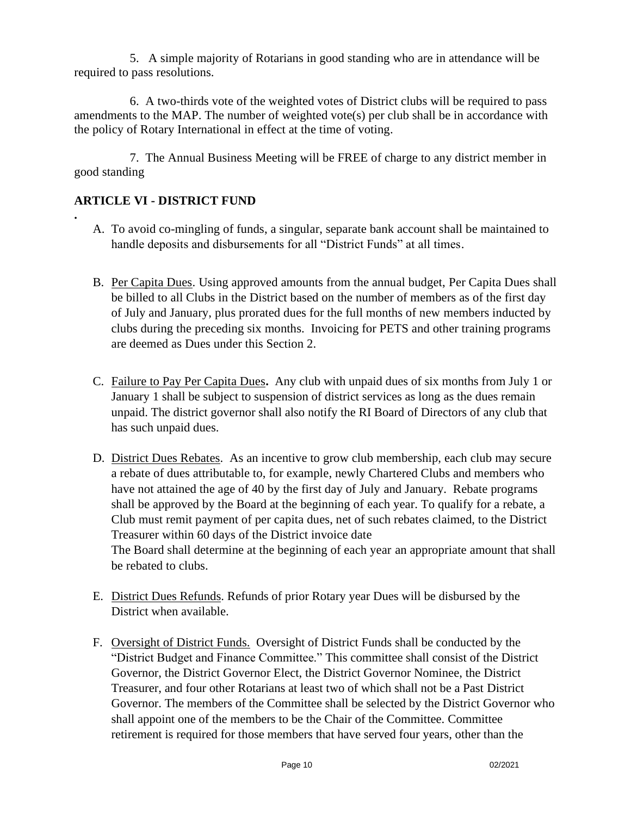5. A simple majority of Rotarians in good standing who are in attendance will be required to pass resolutions.

6. A two-thirds vote of the weighted votes of District clubs will be required to pass amendments to the MAP. The number of weighted vote(s) per club shall be in accordance with the policy of Rotary International in effect at the time of voting.

7. The Annual Business Meeting will be FREE of charge to any district member in good standing

## **ARTICLE VI - DISTRICT FUND**

**.** 

- A. To avoid co-mingling of funds, a singular, separate bank account shall be maintained to handle deposits and disbursements for all "District Funds" at all times.
- B. Per Capita Dues. Using approved amounts from the annual budget, Per Capita Dues shall be billed to all Clubs in the District based on the number of members as of the first day of July and January, plus prorated dues for the full months of new members inducted by clubs during the preceding six months. Invoicing for PETS and other training programs are deemed as Dues under this Section 2.
- C. Failure to Pay Per Capita Dues**.** Any club with unpaid dues of six months from July 1 or January 1 shall be subject to suspension of district services as long as the dues remain unpaid. The district governor shall also notify the RI Board of Directors of any club that has such unpaid dues.
- D. District Dues Rebates. As an incentive to grow club membership, each club may secure a rebate of dues attributable to, for example, newly Chartered Clubs and members who have not attained the age of 40 by the first day of July and January. Rebate programs shall be approved by the Board at the beginning of each year. To qualify for a rebate, a Club must remit payment of per capita dues, net of such rebates claimed, to the District Treasurer within 60 days of the District invoice date The Board shall determine at the beginning of each year an appropriate amount that shall be rebated to clubs.
- E. District Dues Refunds. Refunds of prior Rotary year Dues will be disbursed by the District when available.
- F. Oversight of District Funds. Oversight of District Funds shall be conducted by the "District Budget and Finance Committee." This committee shall consist of the District Governor, the District Governor Elect, the District Governor Nominee, the District Treasurer, and four other Rotarians at least two of which shall not be a Past District Governor. The members of the Committee shall be selected by the District Governor who shall appoint one of the members to be the Chair of the Committee. Committee retirement is required for those members that have served four years, other than the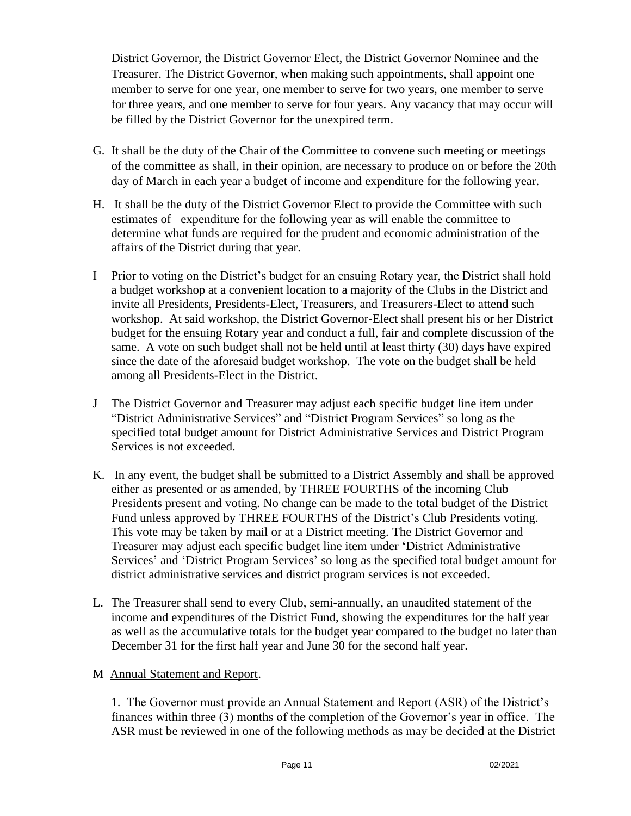District Governor, the District Governor Elect, the District Governor Nominee and the Treasurer. The District Governor, when making such appointments, shall appoint one member to serve for one year, one member to serve for two years, one member to serve for three years, and one member to serve for four years. Any vacancy that may occur will be filled by the District Governor for the unexpired term.

- G. It shall be the duty of the Chair of the Committee to convene such meeting or meetings of the committee as shall, in their opinion, are necessary to produce on or before the 20th day of March in each year a budget of income and expenditure for the following year.
- H. It shall be the duty of the District Governor Elect to provide the Committee with such estimates of expenditure for the following year as will enable the committee to determine what funds are required for the prudent and economic administration of the affairs of the District during that year.
- I Prior to voting on the District's budget for an ensuing Rotary year, the District shall hold a budget workshop at a convenient location to a majority of the Clubs in the District and invite all Presidents, Presidents-Elect, Treasurers, and Treasurers-Elect to attend such workshop. At said workshop, the District Governor-Elect shall present his or her District budget for the ensuing Rotary year and conduct a full, fair and complete discussion of the same. A vote on such budget shall not be held until at least thirty (30) days have expired since the date of the aforesaid budget workshop. The vote on the budget shall be held among all Presidents-Elect in the District.
- J The District Governor and Treasurer may adjust each specific budget line item under "District Administrative Services" and "District Program Services" so long as the specified total budget amount for District Administrative Services and District Program Services is not exceeded.
- K. In any event, the budget shall be submitted to a District Assembly and shall be approved either as presented or as amended, by THREE FOURTHS of the incoming Club Presidents present and voting. No change can be made to the total budget of the District Fund unless approved by THREE FOURTHS of the District's Club Presidents voting. This vote may be taken by mail or at a District meeting. The District Governor and Treasurer may adjust each specific budget line item under 'District Administrative Services' and 'District Program Services' so long as the specified total budget amount for district administrative services and district program services is not exceeded.
- L. The Treasurer shall send to every Club, semi-annually, an unaudited statement of the income and expenditures of the District Fund, showing the expenditures for the half year as well as the accumulative totals for the budget year compared to the budget no later than December 31 for the first half year and June 30 for the second half year.
- M Annual Statement and Report.

1. The Governor must provide an Annual Statement and Report (ASR) of the District's finances within three (3) months of the completion of the Governor's year in office. The ASR must be reviewed in one of the following methods as may be decided at the District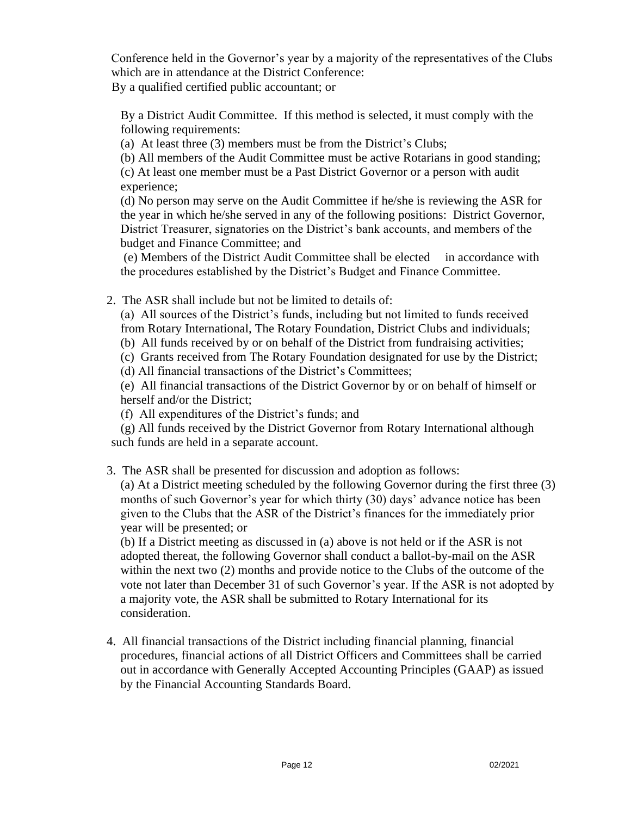Conference held in the Governor's year by a majority of the representatives of the Clubs which are in attendance at the District Conference:

By a qualified certified public accountant; or

By a District Audit Committee. If this method is selected, it must comply with the following requirements:

(a) At least three (3) members must be from the District's Clubs;

(b) All members of the Audit Committee must be active Rotarians in good standing; (c) At least one member must be a Past District Governor or a person with audit experience;

(d) No person may serve on the Audit Committee if he/she is reviewing the ASR for the year in which he/she served in any of the following positions: District Governor, District Treasurer, signatories on the District's bank accounts, and members of the budget and Finance Committee; and

(e) Members of the District Audit Committee shall be elected in accordance with the procedures established by the District's Budget and Finance Committee.

2. The ASR shall include but not be limited to details of:

(a) All sources of the District's funds, including but not limited to funds received from Rotary International, The Rotary Foundation, District Clubs and individuals;

(b) All funds received by or on behalf of the District from fundraising activities;

(c) Grants received from The Rotary Foundation designated for use by the District;

(d) All financial transactions of the District's Committees;

(e) All financial transactions of the District Governor by or on behalf of himself or herself and/or the District;

(f) All expenditures of the District's funds; and

 (g) All funds received by the District Governor from Rotary International although such funds are held in a separate account.

3. The ASR shall be presented for discussion and adoption as follows:

(a) At a District meeting scheduled by the following Governor during the first three (3) months of such Governor's year for which thirty (30) days' advance notice has been given to the Clubs that the ASR of the District's finances for the immediately prior year will be presented; or

(b) If a District meeting as discussed in (a) above is not held or if the ASR is not adopted thereat, the following Governor shall conduct a ballot-by-mail on the ASR within the next two (2) months and provide notice to the Clubs of the outcome of the vote not later than December 31 of such Governor's year. If the ASR is not adopted by a majority vote, the ASR shall be submitted to Rotary International for its consideration.

4. All financial transactions of the District including financial planning, financial procedures, financial actions of all District Officers and Committees shall be carried out in accordance with Generally Accepted Accounting Principles (GAAP) as issued by the Financial Accounting Standards Board.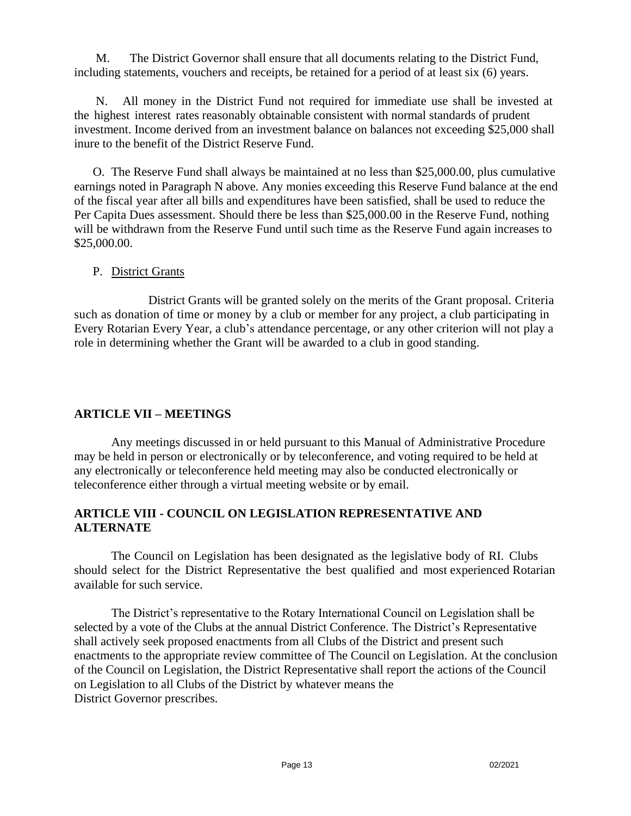M. The District Governor shall ensure that all documents relating to the District Fund, including statements, vouchers and receipts, be retained for a period of at least six (6) years.

N. All money in the District Fund not required for immediate use shall be invested at the highest interest rates reasonably obtainable consistent with normal standards of prudent investment. Income derived from an investment balance on balances not exceeding \$25,000 shall inure to the benefit of the District Reserve Fund.

O. The Reserve Fund shall always be maintained at no less than \$25,000.00, plus cumulative earnings noted in Paragraph N above. Any monies exceeding this Reserve Fund balance at the end of the fiscal year after all bills and expenditures have been satisfied, shall be used to reduce the Per Capita Dues assessment. Should there be less than \$25,000.00 in the Reserve Fund, nothing will be withdrawn from the Reserve Fund until such time as the Reserve Fund again increases to \$25,000.00.

#### P. District Grants

District Grants will be granted solely on the merits of the Grant proposal. Criteria such as donation of time or money by a club or member for any project, a club participating in Every Rotarian Every Year, a club's attendance percentage, or any other criterion will not play a role in determining whether the Grant will be awarded to a club in good standing.

## **ARTICLE VII – MEETINGS**

 Any meetings discussed in or held pursuant to this Manual of Administrative Procedure may be held in person or electronically or by teleconference, and voting required to be held at any electronically or teleconference held meeting may also be conducted electronically or teleconference either through a virtual meeting website or by email.

#### **ARTICLE VIII - COUNCIL ON LEGISLATION REPRESENTATIVE AND ALTERNATE**

The Council on Legislation has been designated as the legislative body of RI. Clubs should select for the District Representative the best qualified and most experienced Rotarian available for such service.

The District's representative to the Rotary International Council on Legislation shall be selected by a vote of the Clubs at the annual District Conference. The District's Representative shall actively seek proposed enactments from all Clubs of the District and present such enactments to the appropriate review committee of The Council on Legislation. At the conclusion of the Council on Legislation, the District Representative shall report the actions of the Council on Legislation to all Clubs of the District by whatever means the District Governor prescribes.